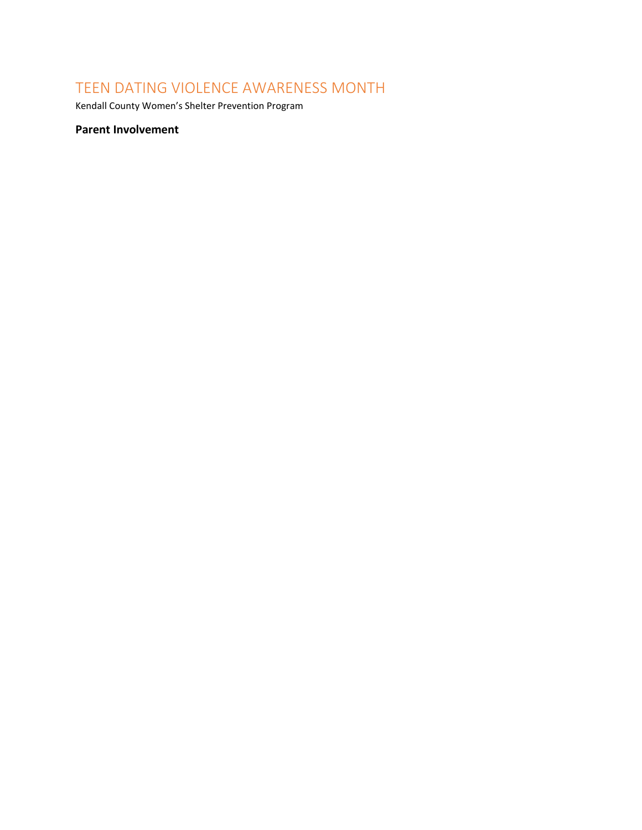# TEEN DATING VIOLENCE AWARENESS MONTH

Kendall County Women's Shelter Prevention Program

# **Parent Involvement**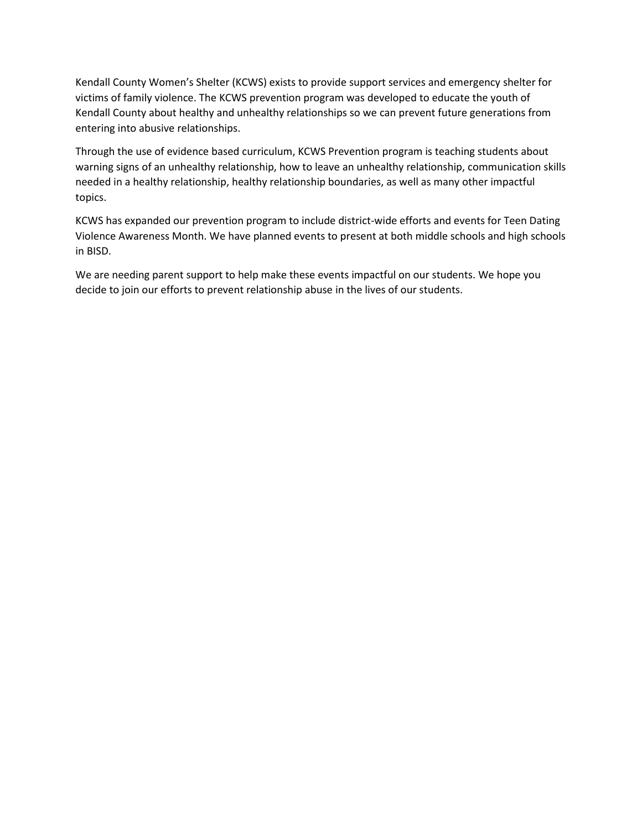Kendall County Women's Shelter (KCWS) exists to provide support services and emergency shelter for victims of family violence. The KCWS prevention program was developed to educate the youth of Kendall County about healthy and unhealthy relationships so we can prevent future generations from entering into abusive relationships.

Through the use of evidence based curriculum, KCWS Prevention program is teaching students about warning signs of an unhealthy relationship, how to leave an unhealthy relationship, communication skills needed in a healthy relationship, healthy relationship boundaries, as well as many other impactful topics.

KCWS has expanded our prevention program to include district-wide efforts and events for Teen Dating Violence Awareness Month. We have planned events to present at both middle schools and high schools in BISD.

We are needing parent support to help make these events impactful on our students. We hope you decide to join our efforts to prevent relationship abuse in the lives of our students.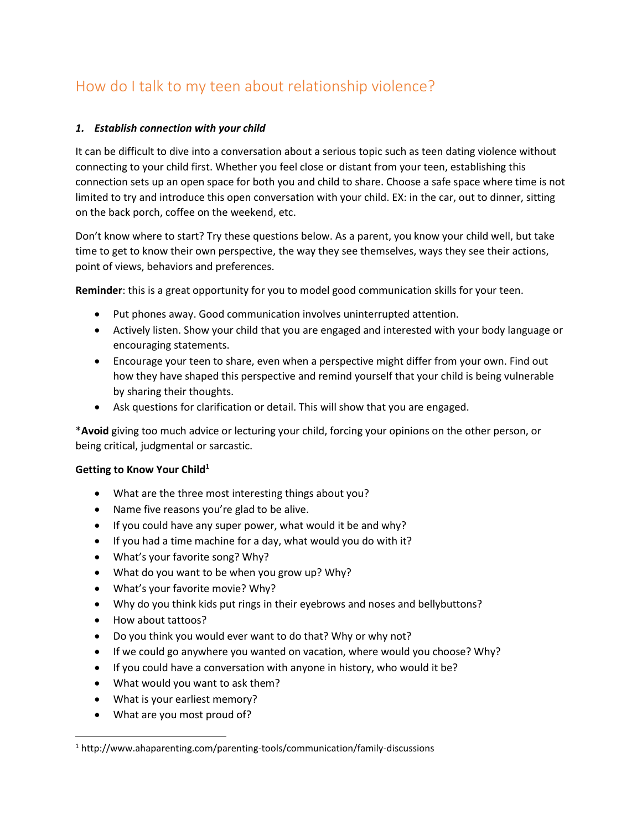# How do I talk to my teen about relationship violence?

#### *1. Establish connection with your child*

It can be difficult to dive into a conversation about a serious topic such as teen dating violence without connecting to your child first. Whether you feel close or distant from your teen, establishing this connection sets up an open space for both you and child to share. Choose a safe space where time is not limited to try and introduce this open conversation with your child. EX: in the car, out to dinner, sitting on the back porch, coffee on the weekend, etc.

Don't know where to start? Try these questions below. As a parent, you know your child well, but take time to get to know their own perspective, the way they see themselves, ways they see their actions, point of views, behaviors and preferences.

**Reminder**: this is a great opportunity for you to model good communication skills for your teen.

- Put phones away. Good communication involves uninterrupted attention.
- Actively listen. Show your child that you are engaged and interested with your body language or encouraging statements.
- Encourage your teen to share, even when a perspective might differ from your own. Find out how they have shaped this perspective and remind yourself that your child is being vulnerable by sharing their thoughts.
- Ask questions for clarification or detail. This will show that you are engaged.

\***Avoid** giving too much advice or lecturing your child, forcing your opinions on the other person, or being critical, judgmental or sarcastic.

#### **Getting to Know Your Child<sup>1</sup>**

- What are the three most interesting things about you?
- Name five reasons you're glad to be alive.
- $\bullet$  If you could have any super power, what would it be and why?
- If you had a time machine for a day, what would you do with it?
- What's your favorite song? Why?
- What do you want to be when you grow up? Why?
- What's your favorite movie? Why?
- Why do you think kids put rings in their eyebrows and noses and bellybuttons?
- How about tattoos?

 $\overline{\phantom{a}}$ 

- Do you think you would ever want to do that? Why or why not?
- If we could go anywhere you wanted on vacation, where would you choose? Why?
- If you could have a conversation with anyone in history, who would it be?
- What would you want to ask them?
- What is your earliest memory?
- What are you most proud of?

<sup>1</sup> http://www.ahaparenting.com/parenting-tools/communication/family-discussions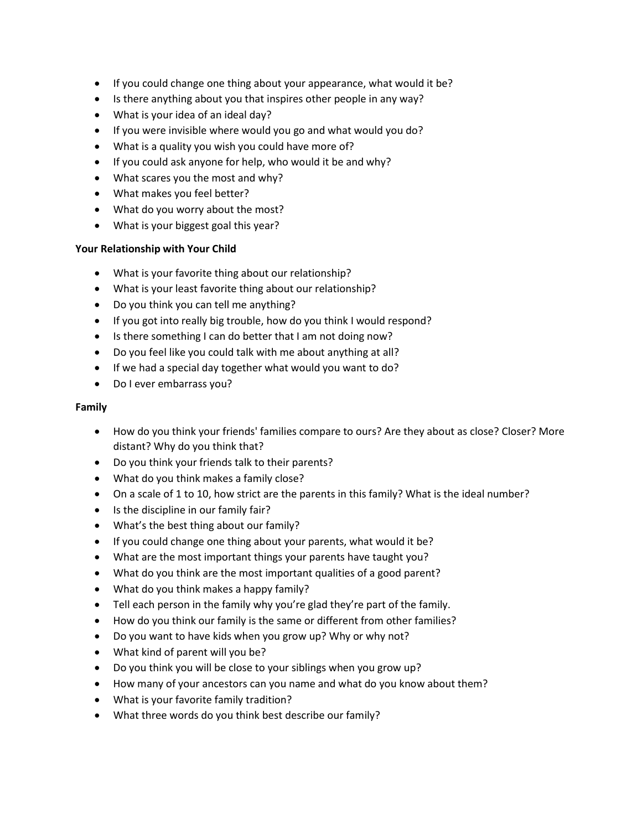- If you could change one thing about your appearance, what would it be?
- Is there anything about you that inspires other people in any way?
- What is your idea of an ideal day?
- If you were invisible where would you go and what would you do?
- What is a quality you wish you could have more of?
- If you could ask anyone for help, who would it be and why?
- What scares you the most and why?
- What makes you feel better?
- What do you worry about the most?
- What is your biggest goal this year?

#### **Your Relationship with Your Child**

- What is your favorite thing about our relationship?
- What is your least favorite thing about our relationship?
- Do you think you can tell me anything?
- If you got into really big trouble, how do you think I would respond?
- Is there something I can do better that I am not doing now?
- Do you feel like you could talk with me about anything at all?
- If we had a special day together what would you want to do?
- Do I ever embarrass you?

#### **Family**

- How do you think your friends' families compare to ours? Are they about as close? Closer? More distant? Why do you think that?
- Do you think your friends talk to their parents?
- What do you think makes a family close?
- On a scale of 1 to 10, how strict are the parents in this family? What is the ideal number?
- Is the discipline in our family fair?
- What's the best thing about our family?
- If you could change one thing about your parents, what would it be?
- What are the most important things your parents have taught you?
- What do you think are the most important qualities of a good parent?
- What do you think makes a happy family?
- Tell each person in the family why you're glad they're part of the family.
- How do you think our family is the same or different from other families?
- Do you want to have kids when you grow up? Why or why not?
- What kind of parent will you be?
- Do you think you will be close to your siblings when you grow up?
- How many of your ancestors can you name and what do you know about them?
- What is your favorite family tradition?
- What three words do you think best describe our family?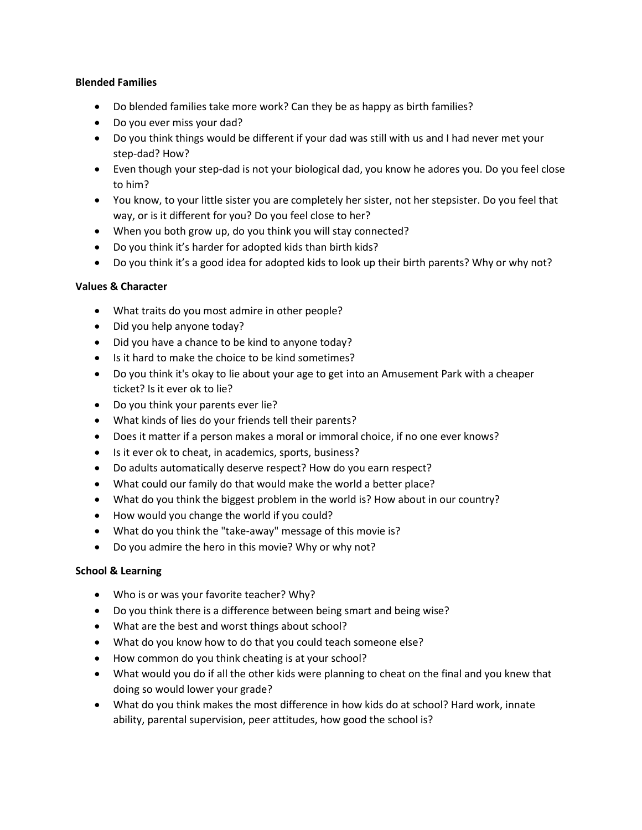#### **Blended Families**

- Do blended families take more work? Can they be as happy as birth families?
- Do you ever miss your dad?
- Do you think things would be different if your dad was still with us and I had never met your step-dad? How?
- Even though your step-dad is not your biological dad, you know he adores you. Do you feel close to him?
- You know, to your little sister you are completely her sister, not her stepsister. Do you feel that way, or is it different for you? Do you feel close to her?
- When you both grow up, do you think you will stay connected?
- Do you think it's harder for adopted kids than birth kids?
- Do you think it's a good idea for adopted kids to look up their birth parents? Why or why not?

#### **Values & Character**

- What traits do you most admire in other people?
- Did you help anyone today?
- Did you have a chance to be kind to anyone today?
- Is it hard to make the choice to be kind sometimes?
- Do you think it's okay to lie about your age to get into an Amusement Park with a cheaper ticket? Is it ever ok to lie?
- Do you think your parents ever lie?
- What kinds of lies do your friends tell their parents?
- Does it matter if a person makes a moral or immoral choice, if no one ever knows?
- Is it ever ok to cheat, in academics, sports, business?
- Do adults automatically deserve respect? How do you earn respect?
- What could our family do that would make the world a better place?
- What do you think the biggest problem in the world is? How about in our country?
- How would you change the world if you could?
- What do you think the "take-away" message of this movie is?
- Do you admire the hero in this movie? Why or why not?

# **School & Learning**

- Who is or was your favorite teacher? Why?
- Do you think there is a difference between being smart and being wise?
- What are the best and worst things about school?
- What do you know how to do that you could teach someone else?
- How common do you think cheating is at your school?
- What would you do if all the other kids were planning to cheat on the final and you knew that doing so would lower your grade?
- What do you think makes the most difference in how kids do at school? Hard work, innate ability, parental supervision, peer attitudes, how good the school is?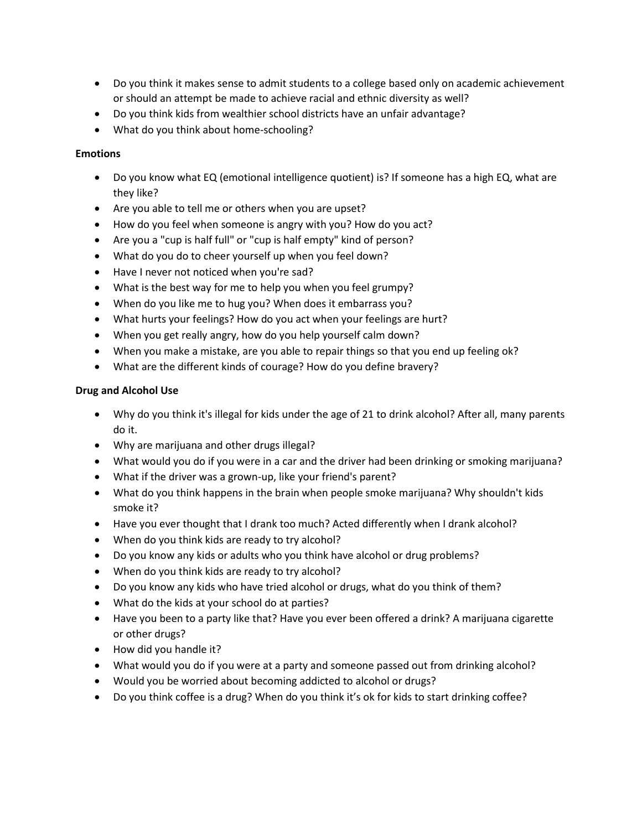- Do you think it makes sense to admit students to a college based only on academic achievement or should an attempt be made to achieve racial and ethnic diversity as well?
- Do you think kids from wealthier school districts have an unfair advantage?
- What do you think about home-schooling?

#### **Emotions**

- Do you know what EQ (emotional intelligence quotient) is? If someone has a high EQ, what are they like?
- Are you able to tell me or others when you are upset?
- How do you feel when someone is angry with you? How do you act?
- Are you a "cup is half full" or "cup is half empty" kind of person?
- What do you do to cheer yourself up when you feel down?
- Have I never not noticed when you're sad?
- What is the best way for me to help you when you feel grumpy?
- When do you like me to hug you? When does it embarrass you?
- What hurts your feelings? How do you act when your feelings are hurt?
- When you get really angry, how do you help yourself calm down?
- When you make a mistake, are you able to repair things so that you end up feeling ok?
- What are the different kinds of courage? How do you define bravery?

#### **Drug and Alcohol Use**

- Why do you think it's illegal for kids under the age of 21 to drink alcohol? After all, many parents do it.
- Why are marijuana and other drugs illegal?
- What would you do if you were in a car and the driver had been drinking or smoking marijuana?
- What if the driver was a grown-up, like your friend's parent?
- What do you think happens in the brain when people smoke marijuana? Why shouldn't kids smoke it?
- Have you ever thought that I drank too much? Acted differently when I drank alcohol?
- When do you think kids are ready to try alcohol?
- Do you know any kids or adults who you think have alcohol or drug problems?
- When do you think kids are ready to try alcohol?
- Do you know any kids who have tried alcohol or drugs, what do you think of them?
- What do the kids at your school do at parties?
- Have you been to a party like that? Have you ever been offered a drink? A marijuana cigarette or other drugs?
- How did you handle it?
- What would you do if you were at a party and someone passed out from drinking alcohol?
- Would you be worried about becoming addicted to alcohol or drugs?
- Do you think coffee is a drug? When do you think it's ok for kids to start drinking coffee?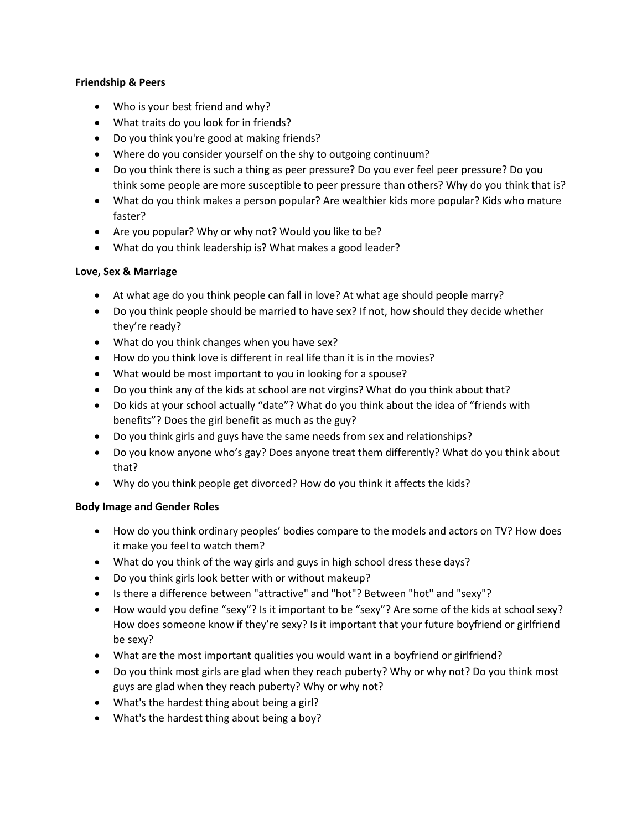#### **Friendship & Peers**

- Who is your best friend and why?
- What traits do you look for in friends?
- Do you think you're good at making friends?
- Where do you consider yourself on the shy to outgoing continuum?
- Do you think there is such a thing as peer pressure? Do you ever feel peer pressure? Do you think some people are more susceptible to peer pressure than others? Why do you think that is?
- What do you think makes a person popular? Are wealthier kids more popular? Kids who mature faster?
- Are you popular? Why or why not? Would you like to be?
- What do you think leadership is? What makes a good leader?

# **Love, Sex & Marriage**

- At what age do you think people can fall in love? At what age should people marry?
- Do you think people should be married to have sex? If not, how should they decide whether they're ready?
- What do you think changes when you have sex?
- How do you think love is different in real life than it is in the movies?
- What would be most important to you in looking for a spouse?
- Do you think any of the kids at school are not virgins? What do you think about that?
- Do kids at your school actually "date"? What do you think about the idea of "friends with benefits"? Does the girl benefit as much as the guy?
- Do you think girls and guys have the same needs from sex and relationships?
- Do you know anyone who's gay? Does anyone treat them differently? What do you think about that?
- Why do you think people get divorced? How do you think it affects the kids?

# **Body Image and Gender Roles**

- How do you think ordinary peoples' bodies compare to the models and actors on TV? How does it make you feel to watch them?
- What do you think of the way girls and guys in high school dress these days?
- Do you think girls look better with or without makeup?
- Is there a difference between "attractive" and "hot"? Between "hot" and "sexy"?
- How would you define "sexy"? Is it important to be "sexy"? Are some of the kids at school sexy? How does someone know if they're sexy? Is it important that your future boyfriend or girlfriend be sexy?
- What are the most important qualities you would want in a boyfriend or girlfriend?
- Do you think most girls are glad when they reach puberty? Why or why not? Do you think most guys are glad when they reach puberty? Why or why not?
- What's the hardest thing about being a girl?
- What's the hardest thing about being a boy?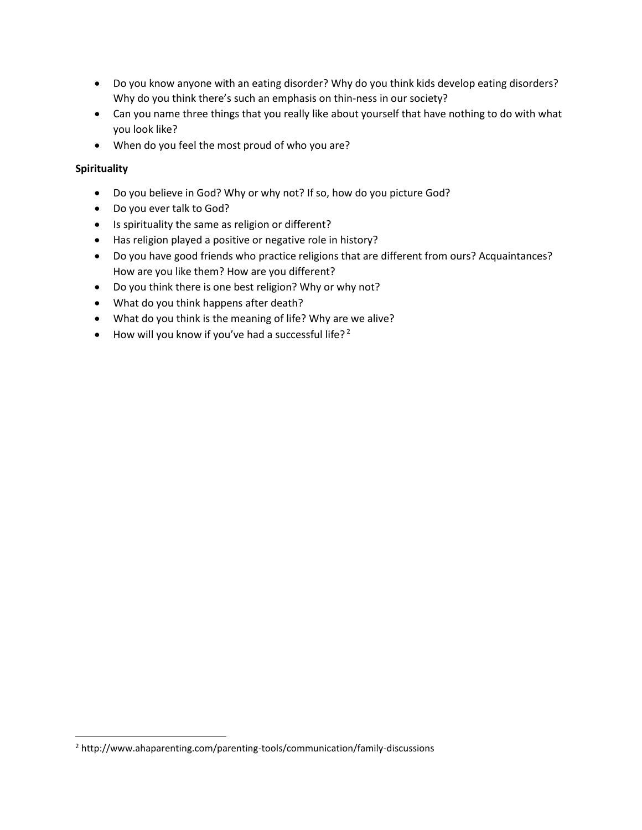- Do you know anyone with an eating disorder? Why do you think kids develop eating disorders? Why do you think there's such an emphasis on thin-ness in our society?
- Can you name three things that you really like about yourself that have nothing to do with what you look like?
- When do you feel the most proud of who you are?

# **Spirituality**

 $\overline{\phantom{a}}$ 

- Do you believe in God? Why or why not? If so, how do you picture God?
- Do you ever talk to God?
- Is spirituality the same as religion or different?
- Has religion played a positive or negative role in history?
- Do you have good friends who practice religions that are different from ours? Acquaintances? How are you like them? How are you different?
- Do you think there is one best religion? Why or why not?
- What do you think happens after death?
- What do you think is the meaning of life? Why are we alive?
- $\bullet$  How will you know if you've had a successful life?<sup>2</sup>

<sup>2</sup> http://www.ahaparenting.com/parenting-tools/communication/family-discussions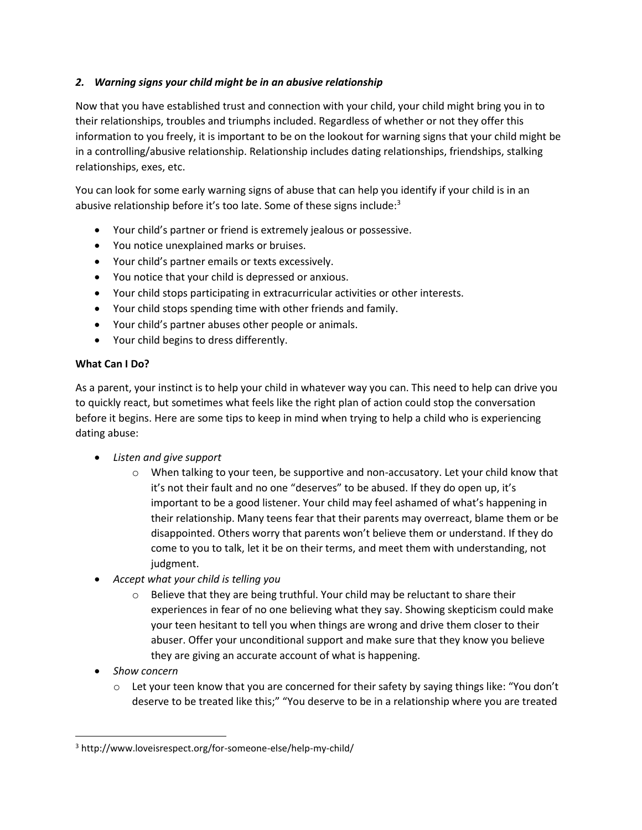# *2. Warning signs your child might be in an abusive relationship*

Now that you have established trust and connection with your child, your child might bring you in to their relationships, troubles and triumphs included. Regardless of whether or not they offer this information to you freely, it is important to be on the lookout for warning signs that your child might be in a controlling/abusive relationship. Relationship includes dating relationships, friendships, stalking relationships, exes, etc.

You can look for some early warning signs of abuse that can help you identify if your child is in an abusive relationship before it's too late. Some of these signs include:<sup>3</sup>

- Your child's partner or friend is extremely jealous or possessive.
- You notice unexplained marks or bruises.
- Your child's partner emails or texts excessively.
- You notice that your child is depressed or anxious.
- Your child stops participating in extracurricular activities or other interests.
- Your child stops spending time with other friends and family.
- Your child's partner abuses other people or animals.
- Your child begins to dress differently.

#### **What Can I Do?**

As a parent, your instinct is to help your child in whatever way you can. This need to help can drive you to quickly react, but sometimes what feels like the right plan of action could stop the conversation before it begins. Here are some tips to keep in mind when trying to help a child who is experiencing dating abuse:

- *Listen and give support*
	- o When talking to your teen, be supportive and non-accusatory. Let your child know that it's not their fault and no one "deserves" to be abused. If they do open up, it's important to be a good listener. Your child may feel ashamed of what's happening in their relationship. Many teens fear that their parents may overreact, blame them or be disappointed. Others worry that parents won't believe them or understand. If they do come to you to talk, let it be on their terms, and meet them with understanding, not judgment.
- *Accept what your child is telling you*
	- $\circ$  Believe that they are being truthful. Your child may be reluctant to share their experiences in fear of no one believing what they say. Showing skepticism could make your teen hesitant to tell you when things are wrong and drive them closer to their abuser. Offer your unconditional support and make sure that they know you believe they are giving an accurate account of what is happening.
- *Show concern*

 $\overline{\phantom{a}}$ 

 $\circ$  Let your teen know that you are concerned for their safety by saying things like: "You don't deserve to be treated like this;" "You deserve to be in a relationship where you are treated

<sup>3</sup> http://www.loveisrespect.org/for-someone-else/help-my-child/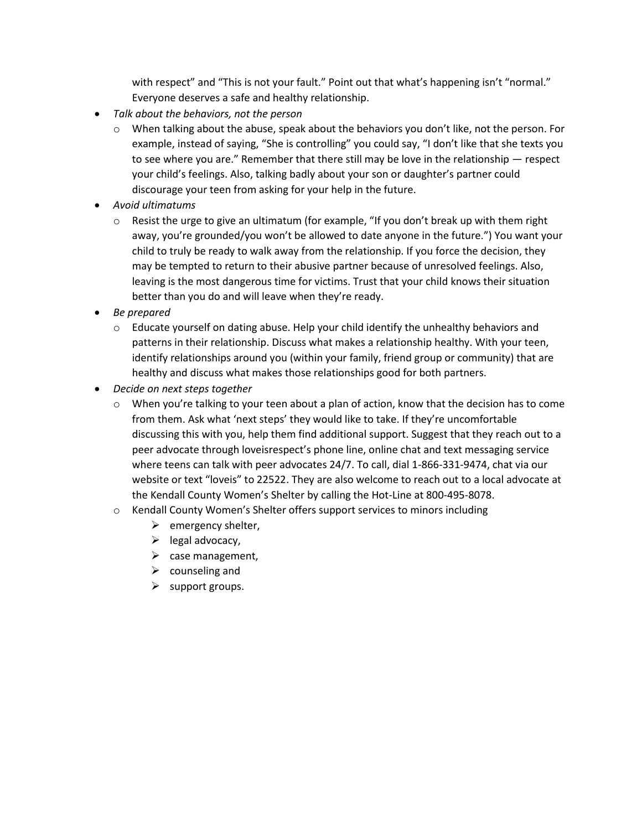with respect" and "This is not your fault." Point out that what's happening isn't "normal." Everyone deserves a safe and healthy relationship.

- *Talk about the behaviors, not the person*
	- $\circ$  When talking about the abuse, speak about the behaviors you don't like, not the person. For example, instead of saying, "She is controlling" you could say, "I don't like that she texts you to see where you are." Remember that there still may be love in the relationship — respect your child's feelings. Also, talking badly about your son or daughter's partner could discourage your teen from asking for your help in the future.
- *Avoid ultimatums*
	- $\circ$  Resist the urge to give an ultimatum (for example, "If you don't break up with them right away, you're grounded/you won't be allowed to date anyone in the future.") You want your child to truly be ready to walk away from the relationship. If you force the decision, they may be tempted to return to their abusive partner because of unresolved feelings. Also, leaving is the most dangerous time for victims. Trust that your child knows their situation better than you do and will leave when they're ready.
- *Be prepared*
	- $\circ$  Educate yourself on dating abuse. Help your child identify the unhealthy behaviors and patterns in their relationship. Discuss what makes a relationship healthy. With your teen, identify relationships around you (within your family, friend group or community) that are healthy and discuss what makes those relationships good for both partners.
- *Decide on next steps together*
	- $\circ$  When you're talking to your teen about a plan of action, know that the decision has to come from them. Ask what 'next steps' they would like to take. If they're uncomfortable discussing this with you, help them find additional support. Suggest that they reach out to a peer advocate through loveisrespect's phone line, online chat and text messaging service where teens can talk with peer advocates 24/7. To call, dial 1-866-331-9474, chat via our website or text "loveis" to 22522. They are also welcome to reach out to a local advocate at the Kendall County Women's Shelter by calling the Hot-Line at 800-495-8078.
	- o Kendall County Women's Shelter offers support services to minors including
		- $\triangleright$  emergency shelter,
		- $\blacktriangleright$  legal advocacy,
		- $\triangleright$  case management,
		- $\triangleright$  counseling and
		- $\triangleright$  support groups.